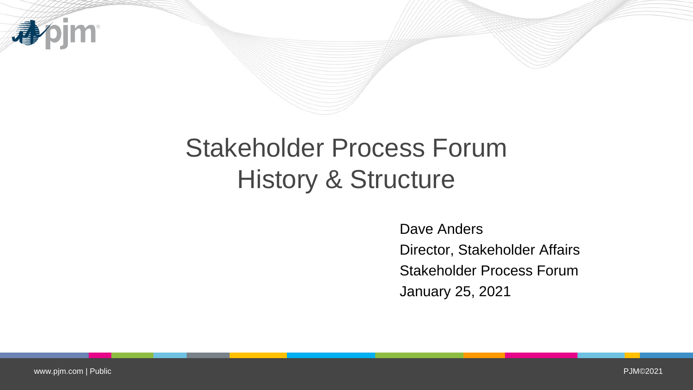

## Stakeholder Process Forum History & Structure

Dave Anders Director, Stakeholder Affairs Stakeholder Process Forum January 25, 2021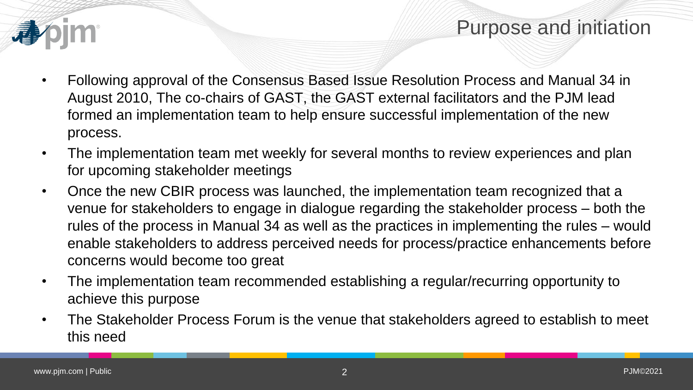## Purpose and initiation



- Following approval of the Consensus Based Issue Resolution Process and Manual 34 in August 2010, The co-chairs of GAST, the GAST external facilitators and the PJM lead formed an implementation team to help ensure successful implementation of the new process.
- The implementation team met weekly for several months to review experiences and plan for upcoming stakeholder meetings
- Once the new CBIR process was launched, the implementation team recognized that a venue for stakeholders to engage in dialogue regarding the stakeholder process – both the rules of the process in Manual 34 as well as the practices in implementing the rules – would enable stakeholders to address perceived needs for process/practice enhancements before concerns would become too great
- The implementation team recommended establishing a regular/recurring opportunity to achieve this purpose
- The Stakeholder Process Forum is the venue that stakeholders agreed to establish to meet this need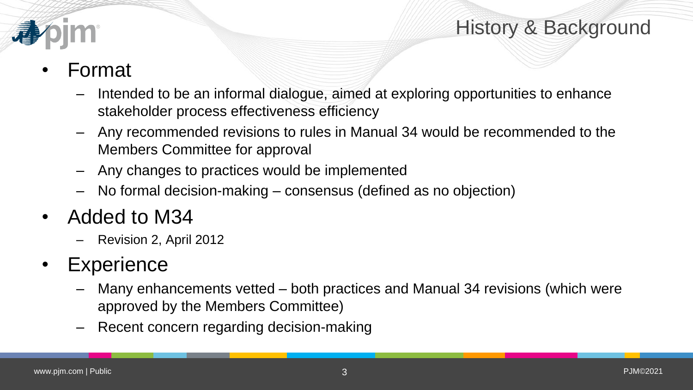



## • Format

- Intended to be an informal dialogue, aimed at exploring opportunities to enhance stakeholder process effectiveness efficiency
- Any recommended revisions to rules in Manual 34 would be recommended to the Members Committee for approval
- Any changes to practices would be implemented
- No formal decision-making consensus (defined as no objection)
- Added to M34
	- Revision 2, April 2012

## • Experience

- Many enhancements vetted both practices and Manual 34 revisions (which were approved by the Members Committee)
- Recent concern regarding decision-making